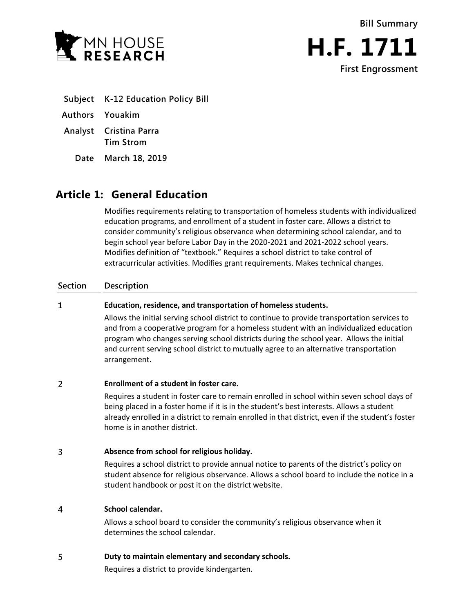



- **Subject K-12 Education Policy Bill**
- **Authors Youakim**
- **Analyst Cristina Parra Tim Strom**
	- **Date March 18, 2019**

## **Article 1: General Education**

Modifies requirements relating to transportation of homeless students with individualized education programs, and enrollment of a student in foster care. Allows a district to consider community's religious observance when determining school calendar, and to begin school year before Labor Day in the 2020-2021 and 2021-2022 school years. Modifies definition of "textbook." Requires a school district to take control of extracurricular activities. Modifies grant requirements. Makes technical changes.

### **Section Description**

#### $\mathbf{1}$ **Education, residence, and transportation of homeless students.**

Allows the initial serving school district to continue to provide transportation services to and from a cooperative program for a homeless student with an individualized education program who changes serving school districts during the school year. Allows the initial and current serving school district to mutually agree to an alternative transportation arrangement.

#### $\overline{2}$ **Enrollment of a student in foster care.**

Requires a student in foster care to remain enrolled in school within seven school days of being placed in a foster home if it is in the student's best interests. Allows a student already enrolled in a district to remain enrolled in that district, even if the student's foster home is in another district.

#### 3 **Absence from school for religious holiday.**

Requires a school district to provide annual notice to parents of the district's policy on student absence for religious observance. Allows a school board to include the notice in a student handbook or post it on the district website.

#### **School calendar.** 4

Allows a school board to consider the community's religious observance when it determines the school calendar.

#### 5 **Duty to maintain elementary and secondary schools.**

Requires a district to provide kindergarten.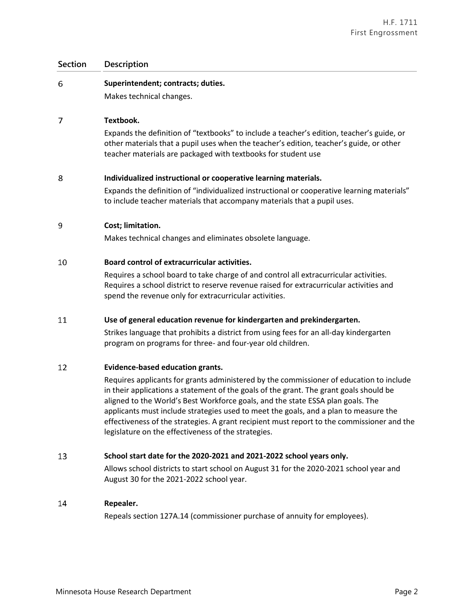| Superintendent; contracts; duties.                                                                                                                                                                                                                                                                                                                                                                                                                                                                                |
|-------------------------------------------------------------------------------------------------------------------------------------------------------------------------------------------------------------------------------------------------------------------------------------------------------------------------------------------------------------------------------------------------------------------------------------------------------------------------------------------------------------------|
| Makes technical changes.                                                                                                                                                                                                                                                                                                                                                                                                                                                                                          |
| Textbook.                                                                                                                                                                                                                                                                                                                                                                                                                                                                                                         |
| Expands the definition of "textbooks" to include a teacher's edition, teacher's guide, or<br>other materials that a pupil uses when the teacher's edition, teacher's guide, or other<br>teacher materials are packaged with textbooks for student use                                                                                                                                                                                                                                                             |
| Individualized instructional or cooperative learning materials.                                                                                                                                                                                                                                                                                                                                                                                                                                                   |
| Expands the definition of "individualized instructional or cooperative learning materials"<br>to include teacher materials that accompany materials that a pupil uses.                                                                                                                                                                                                                                                                                                                                            |
| Cost; limitation.                                                                                                                                                                                                                                                                                                                                                                                                                                                                                                 |
| Makes technical changes and eliminates obsolete language.                                                                                                                                                                                                                                                                                                                                                                                                                                                         |
| Board control of extracurricular activities.                                                                                                                                                                                                                                                                                                                                                                                                                                                                      |
| Requires a school board to take charge of and control all extracurricular activities.<br>Requires a school district to reserve revenue raised for extracurricular activities and<br>spend the revenue only for extracurricular activities.                                                                                                                                                                                                                                                                        |
| Use of general education revenue for kindergarten and prekindergarten.                                                                                                                                                                                                                                                                                                                                                                                                                                            |
| Strikes language that prohibits a district from using fees for an all-day kindergarten<br>program on programs for three- and four-year old children.                                                                                                                                                                                                                                                                                                                                                              |
| <b>Evidence-based education grants.</b>                                                                                                                                                                                                                                                                                                                                                                                                                                                                           |
| Requires applicants for grants administered by the commissioner of education to include<br>in their applications a statement of the goals of the grant. The grant goals should be<br>aligned to the World's Best Workforce goals, and the state ESSA plan goals. The<br>applicants must include strategies used to meet the goals, and a plan to measure the<br>effectiveness of the strategies. A grant recipient must report to the commissioner and the<br>legislature on the effectiveness of the strategies. |
|                                                                                                                                                                                                                                                                                                                                                                                                                                                                                                                   |

#### 13 **School start date for the 2020-2021 and 2021-2022 school years only.**

Allows school districts to start school on August 31 for the 2020-2021 school year and August 30 for the 2021-2022 school year.

#### 14 **Repealer.**

Repeals section 127A.14 (commissioner purchase of annuity for employees).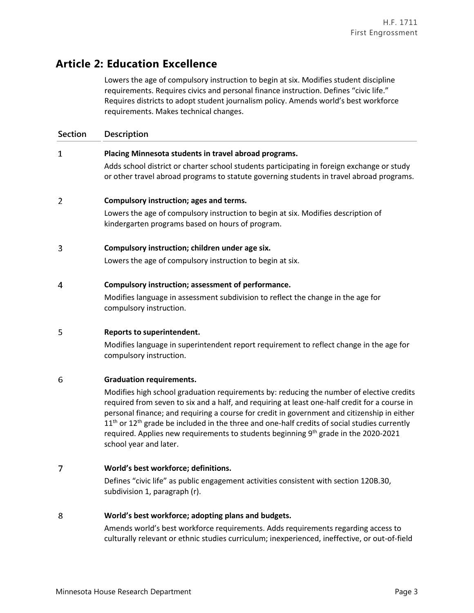# **Article 2: Education Excellence**

Lowers the age of compulsory instruction to begin at six. Modifies student discipline requirements. Requires civics and personal finance instruction. Defines "civic life." Requires districts to adopt student journalism policy. Amends world's best workforce requirements. Makes technical changes.

 $\mathbf{1}$ 

### **Placing Minnesota students in travel abroad programs.**

Adds school district or charter school students participating in foreign exchange or study or other travel abroad programs to statute governing students in travel abroad programs.

#### $\overline{2}$ **Compulsory instruction; ages and terms.**

Lowers the age of compulsory instruction to begin at six. Modifies description of kindergarten programs based on hours of program.

#### 3 **Compulsory instruction; children under age six.**

Lowers the age of compulsory instruction to begin at six.

#### $\overline{4}$ **Compulsory instruction; assessment of performance.**

Modifies language in assessment subdivision to reflect the change in the age for compulsory instruction.

#### 5 **Reports to superintendent.**

Modifies language in superintendent report requirement to reflect change in the age for compulsory instruction.

#### 6 **Graduation requirements.**

Modifies high school graduation requirements by: reducing the number of elective credits required from seven to six and a half, and requiring at least one-half credit for a course in personal finance; and requiring a course for credit in government and citizenship in either  $11<sup>th</sup>$  or  $12<sup>th</sup>$  grade be included in the three and one-half credits of social studies currently required. Applies new requirements to students beginning 9<sup>th</sup> grade in the 2020-2021 school year and later.

#### $\overline{7}$ **World's best workforce; definitions.**

Defines "civic life" as public engagement activities consistent with section 120B.30, subdivision 1, paragraph (r).

#### 8 **World's best workforce; adopting plans and budgets.**

Amends world's best workforce requirements. Adds requirements regarding access to culturally relevant or ethnic studies curriculum; inexperienced, ineffective, or out-of-field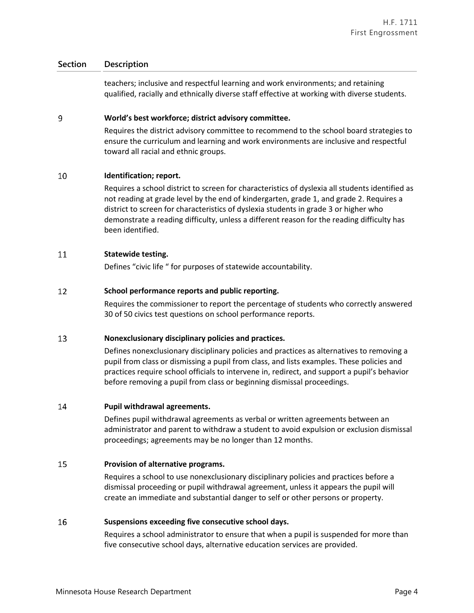teachers; inclusive and respectful learning and work environments; and retaining qualified, racially and ethnically diverse staff effective at working with diverse students.

#### 9 **World's best workforce; district advisory committee.**

Requires the district advisory committee to recommend to the school board strategies to ensure the curriculum and learning and work environments are inclusive and respectful toward all racial and ethnic groups.

#### 10 **Identification; report.**

Requires a school district to screen for characteristics of dyslexia all students identified as not reading at grade level by the end of kindergarten, grade 1, and grade 2. Requires a district to screen for characteristics of dyslexia students in grade 3 or higher who demonstrate a reading difficulty, unless a different reason for the reading difficulty has been identified.

#### 11 **Statewide testing.**

Defines "civic life " for purposes of statewide accountability.

#### 12 **School performance reports and public reporting.**

Requires the commissioner to report the percentage of students who correctly answered 30 of 50 civics test questions on school performance reports.

#### 13 **Nonexclusionary disciplinary policies and practices.**

Defines nonexclusionary disciplinary policies and practices as alternatives to removing a pupil from class or dismissing a pupil from class, and lists examples. These policies and practices require school officials to intervene in, redirect, and support a pupil's behavior before removing a pupil from class or beginning dismissal proceedings.

#### 14 **Pupil withdrawal agreements.**

Defines pupil withdrawal agreements as verbal or written agreements between an administrator and parent to withdraw a student to avoid expulsion or exclusion dismissal proceedings; agreements may be no longer than 12 months.

#### 15 **Provision of alternative programs.**

Requires a school to use nonexclusionary disciplinary policies and practices before a dismissal proceeding or pupil withdrawal agreement, unless it appears the pupil will create an immediate and substantial danger to self or other persons or property.

#### 16 **Suspensions exceeding five consecutive school days.**

Requires a school administrator to ensure that when a pupil is suspended for more than five consecutive school days, alternative education services are provided.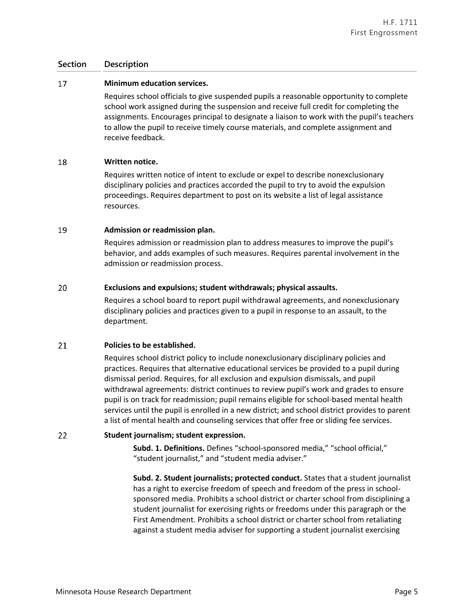#### 17 **Minimum education services.**

Requires school officials to give suspended pupils a reasonable opportunity to complete school work assigned during the suspension and receive full credit for completing the assignments. Encourages principal to designate a liaison to work with the pupil's teachers to allow the pupil to receive timely course materials, and complete assignment and receive feedback.

#### 18 **Written notice.**

Requires written notice of intent to exclude or expel to describe nonexclusionary disciplinary policies and practices accorded the pupil to try to avoid the expulsion proceedings. Requires department to post on its website a list of legal assistance resources.

#### 19 **Admission or readmission plan.**

Requires admission or readmission plan to address measures to improve the pupil's behavior, and adds examples of such measures. Requires parental involvement in the admission or readmission process.

#### 20 **Exclusions and expulsions; student withdrawals; physical assaults.**

Requires a school board to report pupil withdrawal agreements, and nonexclusionary disciplinary policies and practices given to a pupil in response to an assault, to the department.

#### 21 **Policies to be established.**

Requires school district policy to include nonexclusionary disciplinary policies and practices. Requires that alternative educational services be provided to a pupil during dismissal period. Requires, for all exclusion and expulsion dismissals, and pupil withdrawal agreements: district continues to review pupil's work and grades to ensure pupil is on track for readmission; pupil remains eligible for school-based mental health services until the pupil is enrolled in a new district; and school district provides to parent a list of mental health and counseling services that offer free or sliding fee services.

22 **Student journalism; student expression.**

> **Subd. 1. Definitions.** Defines "school-sponsored media," "school official," "student journalist," and "student media adviser."

**Subd. 2. Student journalists; protected conduct.** States that a student journalist has a right to exercise freedom of speech and freedom of the press in schoolsponsored media. Prohibits a school district or charter school from disciplining a student journalist for exercising rights or freedoms under this paragraph or the First Amendment. Prohibits a school district or charter school from retaliating against a student media adviser for supporting a student journalist exercising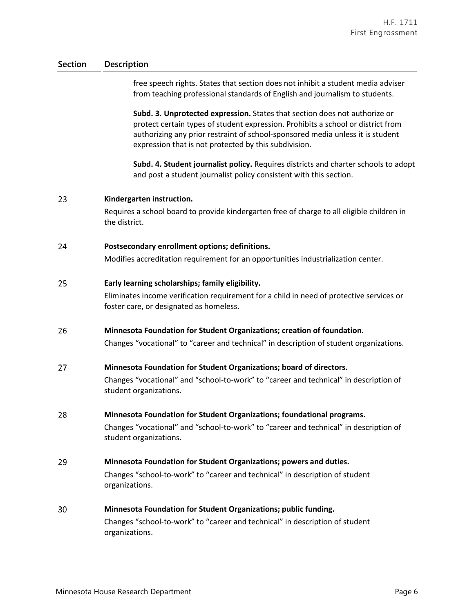free speech rights. States that section does not inhibit a student media adviser from teaching professional standards of English and journalism to students.

**Subd. 3. Unprotected expression.** States that section does not authorize or protect certain types of student expression. Prohibits a school or district from authorizing any prior restraint of school-sponsored media unless it is student expression that is not protected by this subdivision.

**Subd. 4. Student journalist policy.** Requires districts and charter schools to adopt and post a student journalist policy consistent with this section.

#### 23 **Kindergarten instruction.**

Requires a school board to provide kindergarten free of charge to all eligible children in the district.

#### 24 **Postsecondary enrollment options; definitions.**

Modifies accreditation requirement for an opportunities industrialization center.

#### 25 **Early learning scholarships; family eligibility.**

Eliminates income verification requirement for a child in need of protective services or foster care, or designated as homeless.

#### 26 **Minnesota Foundation for Student Organizations; creation of foundation.**

Changes "vocational" to "career and technical" in description of student organizations.

#### 27 **Minnesota Foundation for Student Organizations; board of directors.**

Changes "vocational" and "school-to-work" to "career and technical" in description of student organizations.

#### 28 **Minnesota Foundation for Student Organizations; foundational programs.**

Changes "vocational" and "school-to-work" to "career and technical" in description of student organizations.

#### 29 **Minnesota Foundation for Student Organizations; powers and duties.**

Changes "school-to-work" to "career and technical" in description of student organizations.

#### 30 **Minnesota Foundation for Student Organizations; public funding.**

Changes "school-to-work" to "career and technical" in description of student organizations.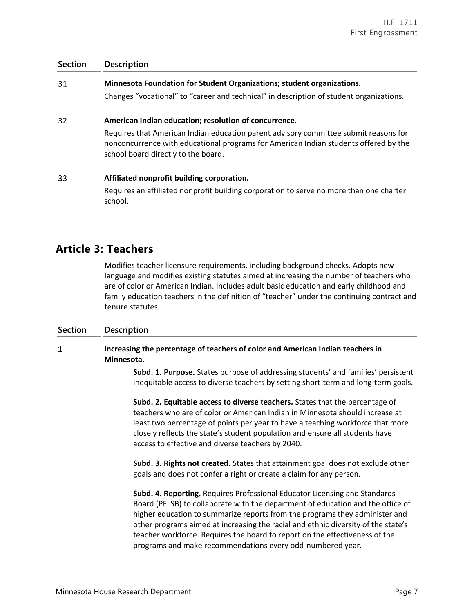| 31 | Minnesota Foundation for Student Organizations; student organizations.                  |
|----|-----------------------------------------------------------------------------------------|
|    | Changes "vocational" to "career and technical" in description of student organizations. |
| 32 | American Indian education; resolution of concurrence.                                   |

Requires that American Indian education parent advisory committee submit reasons for nonconcurrence with educational programs for American Indian students offered by the school board directly to the board.

#### 33 **Affiliated nonprofit building corporation.**

Requires an affiliated nonprofit building corporation to serve no more than one charter school.

## **Article 3: Teachers**

Modifies teacher licensure requirements, including background checks. Adopts new language and modifies existing statutes aimed at increasing the number of teachers who are of color or American Indian. Includes adult basic education and early childhood and family education teachers in the definition of "teacher" under the continuing contract and tenure statutes.

## **Section Description**

### $\mathbf{1}$ **Increasing the percentage of teachers of color and American Indian teachers in Minnesota.**

**Subd. 1. Purpose.** States purpose of addressing students' and families' persistent inequitable access to diverse teachers by setting short-term and long-term goals.

**Subd. 2. Equitable access to diverse teachers.** States that the percentage of teachers who are of color or American Indian in Minnesota should increase at least two percentage of points per year to have a teaching workforce that more closely reflects the state's student population and ensure all students have access to effective and diverse teachers by 2040.

**Subd. 3. Rights not created.** States that attainment goal does not exclude other goals and does not confer a right or create a claim for any person.

**Subd. 4. Reporting.** Requires Professional Educator Licensing and Standards Board (PELSB) to collaborate with the department of education and the office of higher education to summarize reports from the programs they administer and other programs aimed at increasing the racial and ethnic diversity of the state's teacher workforce. Requires the board to report on the effectiveness of the programs and make recommendations every odd-numbered year.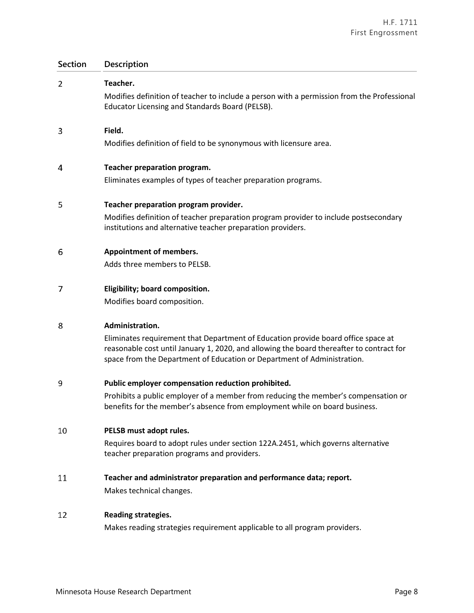| <b>Section</b> | Description                                                                                                                                                                                                                                                                 |
|----------------|-----------------------------------------------------------------------------------------------------------------------------------------------------------------------------------------------------------------------------------------------------------------------------|
| 2              | Teacher.<br>Modifies definition of teacher to include a person with a permission from the Professional<br>Educator Licensing and Standards Board (PELSB).                                                                                                                   |
| 3              | Field.<br>Modifies definition of field to be synonymous with licensure area.                                                                                                                                                                                                |
| 4              | Teacher preparation program.<br>Eliminates examples of types of teacher preparation programs.                                                                                                                                                                               |
| 5              | Teacher preparation program provider.<br>Modifies definition of teacher preparation program provider to include postsecondary<br>institutions and alternative teacher preparation providers.                                                                                |
| 6              | <b>Appointment of members.</b><br>Adds three members to PELSB.                                                                                                                                                                                                              |
| 7              | Eligibility; board composition.<br>Modifies board composition.                                                                                                                                                                                                              |
| 8              | Administration.<br>Eliminates requirement that Department of Education provide board office space at<br>reasonable cost until January 1, 2020, and allowing the board thereafter to contract for<br>space from the Department of Education or Department of Administration. |
| 9              | Public employer compensation reduction prohibited.<br>Prohibits a public employer of a member from reducing the member's compensation or<br>benefits for the member's absence from employment while on board business.                                                      |
| 10             | PELSB must adopt rules.<br>Requires board to adopt rules under section 122A.2451, which governs alternative<br>teacher preparation programs and providers.                                                                                                                  |
| 11             | Teacher and administrator preparation and performance data; report.<br>Makes technical changes.                                                                                                                                                                             |
| 12             | <b>Reading strategies.</b><br>Makes reading strategies requirement applicable to all program providers.                                                                                                                                                                     |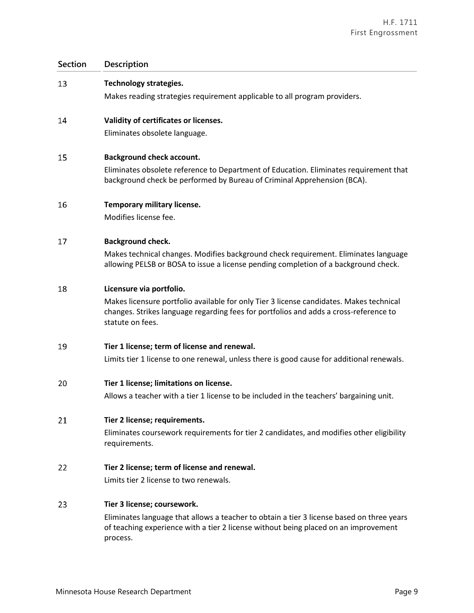**Section Description** 13 **Technology strategies.** Makes reading strategies requirement applicable to all program providers. **Validity of certificates or licenses.** 14 Eliminates obsolete language. 15 **Background check account.** Eliminates obsolete reference to Department of Education. Eliminates requirement that background check be performed by Bureau of Criminal Apprehension (BCA). 16 **Temporary military license.** Modifies license fee. 17 **Background check.** Makes technical changes. Modifies background check requirement. Eliminates language allowing PELSB or BOSA to issue a license pending completion of a background check. 18 **Licensure via portfolio.** Makes licensure portfolio available for only Tier 3 license candidates. Makes technical changes. Strikes language regarding fees for portfolios and adds a cross-reference to statute on fees. 19 **Tier 1 license; term of license and renewal.** Limits tier 1 license to one renewal, unless there is good cause for additional renewals. 20 **Tier 1 license; limitations on license.** Allows a teacher with a tier 1 license to be included in the teachers' bargaining unit. 21 **Tier 2 license; requirements.** Eliminates coursework requirements for tier 2 candidates, and modifies other eligibility requirements. 22 **Tier 2 license; term of license and renewal.**  Limits tier 2 license to two renewals. 23 **Tier 3 license; coursework.** Eliminates language that allows a teacher to obtain a tier 3 license based on three years of teaching experience with a tier 2 license without being placed on an improvement process.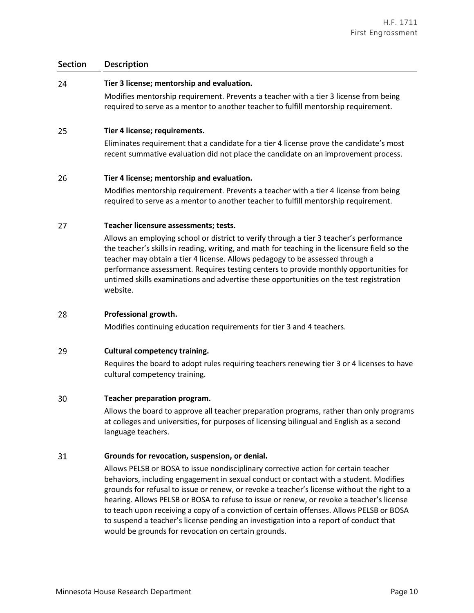#### 24 **Tier 3 license; mentorship and evaluation.**

Modifies mentorship requirement. Prevents a teacher with a tier 3 license from being required to serve as a mentor to another teacher to fulfill mentorship requirement.

#### 25 **Tier 4 license; requirements.**

Eliminates requirement that a candidate for a tier 4 license prove the candidate's most recent summative evaluation did not place the candidate on an improvement process.

#### 26 **Tier 4 license; mentorship and evaluation.**

Modifies mentorship requirement. Prevents a teacher with a tier 4 license from being required to serve as a mentor to another teacher to fulfill mentorship requirement.

#### 27 **Teacher licensure assessments; tests.**

Allows an employing school or district to verify through a tier 3 teacher's performance the teacher's skills in reading, writing, and math for teaching in the licensure field so the teacher may obtain a tier 4 license. Allows pedagogy to be assessed through a performance assessment. Requires testing centers to provide monthly opportunities for untimed skills examinations and advertise these opportunities on the test registration website.

#### 28 **Professional growth.**

Modifies continuing education requirements for tier 3 and 4 teachers.

#### 29 **Cultural competency training.**

Requires the board to adopt rules requiring teachers renewing tier 3 or 4 licenses to have cultural competency training.

#### 30 **Teacher preparation program.**

Allows the board to approve all teacher preparation programs, rather than only programs at colleges and universities, for purposes of licensing bilingual and English as a second language teachers.

#### 31 **Grounds for revocation, suspension, or denial.**

Allows PELSB or BOSA to issue nondisciplinary corrective action for certain teacher behaviors, including engagement in sexual conduct or contact with a student. Modifies grounds for refusal to issue or renew, or revoke a teacher's license without the right to a hearing. Allows PELSB or BOSA to refuse to issue or renew, or revoke a teacher's license to teach upon receiving a copy of a conviction of certain offenses. Allows PELSB or BOSA to suspend a teacher's license pending an investigation into a report of conduct that would be grounds for revocation on certain grounds.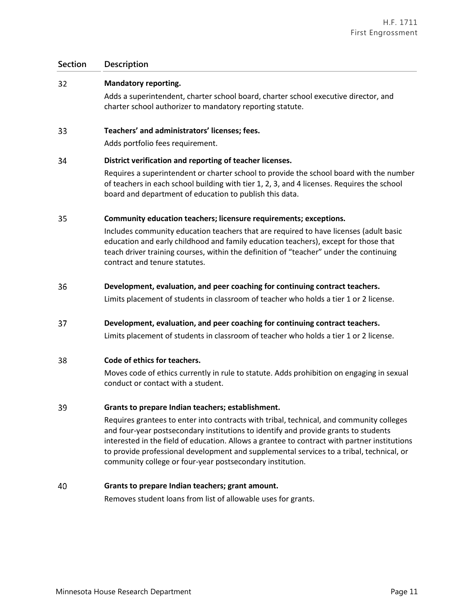#### $32<sup>2</sup>$ **Mandatory reporting.**

Adds a superintendent, charter school board, charter school executive director, and charter school authorizer to mandatory reporting statute.

#### 33 **Teachers' and administrators' licenses; fees.**

Adds portfolio fees requirement.

#### 34 **District verification and reporting of teacher licenses.**

Requires a superintendent or charter school to provide the school board with the number of teachers in each school building with tier 1, 2, 3, and 4 licenses. Requires the school board and department of education to publish this data.

#### 35 **Community education teachers; licensure requirements; exceptions.**

Includes community education teachers that are required to have licenses (adult basic education and early childhood and family education teachers), except for those that teach driver training courses, within the definition of "teacher" under the continuing contract and tenure statutes.

#### 36 **Development, evaluation, and peer coaching for continuing contract teachers.**

Limits placement of students in classroom of teacher who holds a tier 1 or 2 license.

37 **Development, evaluation, and peer coaching for continuing contract teachers.**

Limits placement of students in classroom of teacher who holds a tier 1 or 2 license.

#### 38 **Code of ethics for teachers.**

Moves code of ethics currently in rule to statute. Adds prohibition on engaging in sexual conduct or contact with a student.

#### 39 **Grants to prepare Indian teachers; establishment.**

Requires grantees to enter into contracts with tribal, technical, and community colleges and four-year postsecondary institutions to identify and provide grants to students interested in the field of education. Allows a grantee to contract with partner institutions to provide professional development and supplemental services to a tribal, technical, or community college or four-year postsecondary institution.

#### 40 **Grants to prepare Indian teachers; grant amount.**

Removes student loans from list of allowable uses for grants.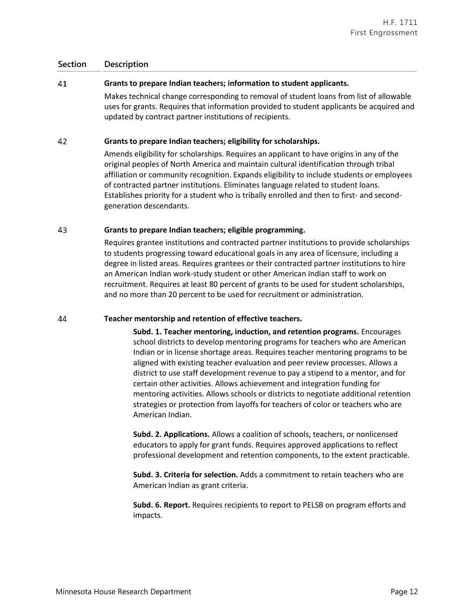#### 41 **Grants to prepare Indian teachers; information to student applicants.**

Makes technical change corresponding to removal of student loans from list of allowable uses for grants. Requires that information provided to student applicants be acquired and updated by contract partner institutions of recipients.

#### 42 **Grants to prepare Indian teachers; eligibility for scholarships.**

Amends eligibility for scholarships. Requires an applicant to have origins in any of the original peoples of North America and maintain cultural identification through tribal affiliation or community recognition. Expands eligibility to include students or employees of contracted partner institutions. Eliminates language related to student loans. Establishes priority for a student who is tribally enrolled and then to first- and secondgeneration descendants.

#### 43 **Grants to prepare Indian teachers; eligible programming.**

Requires grantee institutions and contracted partner institutions to provide scholarships to students progressing toward educational goals in any area of licensure, including a degree in listed areas. Requires grantees or their contracted partner institutions to hire an American Indian work-study student or other American Indian staff to work on recruitment. Requires at least 80 percent of grants to be used for student scholarships, and no more than 20 percent to be used for recruitment or administration.

#### 44 **Teacher mentorship and retention of effective teachers.**

**Subd. 1. Teacher mentoring, induction, and retention programs.** Encourages school districts to develop mentoring programs for teachers who are American Indian or in license shortage areas. Requires teacher mentoring programs to be aligned with existing teacher evaluation and peer review processes. Allows a district to use staff development revenue to pay a stipend to a mentor, and for certain other activities. Allows achievement and integration funding for mentoring activities. Allows schools or districts to negotiate additional retention strategies or protection from layoffs for teachers of color or teachers who are American Indian.

**Subd. 2. Applications.** Allows a coalition of schools, teachers, or nonlicensed educators to apply for grant funds. Requires approved applications to reflect professional development and retention components, to the extent practicable.

**Subd. 3. Criteria for selection.** Adds a commitment to retain teachers who are American Indian as grant criteria.

**Subd. 6. Report.** Requires recipients to report to PELSB on program efforts and impacts.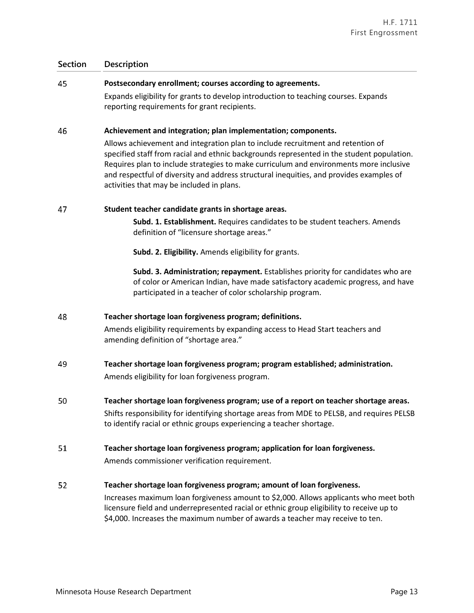| 45 | Postsecondary enrollment; courses according to agreements.                                                                                                                                                                                                                                                                                                                                                     |
|----|----------------------------------------------------------------------------------------------------------------------------------------------------------------------------------------------------------------------------------------------------------------------------------------------------------------------------------------------------------------------------------------------------------------|
|    | Expands eligibility for grants to develop introduction to teaching courses. Expands<br>reporting requirements for grant recipients.                                                                                                                                                                                                                                                                            |
| 46 | Achievement and integration; plan implementation; components.                                                                                                                                                                                                                                                                                                                                                  |
|    | Allows achievement and integration plan to include recruitment and retention of<br>specified staff from racial and ethnic backgrounds represented in the student population.<br>Requires plan to include strategies to make curriculum and environments more inclusive<br>and respectful of diversity and address structural inequities, and provides examples of<br>activities that may be included in plans. |
| 47 | Student teacher candidate grants in shortage areas.                                                                                                                                                                                                                                                                                                                                                            |
|    | Subd. 1. Establishment. Requires candidates to be student teachers. Amends<br>definition of "licensure shortage areas."                                                                                                                                                                                                                                                                                        |
|    | Subd. 2. Eligibility. Amends eligibility for grants.                                                                                                                                                                                                                                                                                                                                                           |
|    | Subd. 3. Administration; repayment. Establishes priority for candidates who are<br>of color or American Indian, have made satisfactory academic progress, and have<br>participated in a teacher of color scholarship program.                                                                                                                                                                                  |
| 48 | Teacher shortage loan forgiveness program; definitions.                                                                                                                                                                                                                                                                                                                                                        |
|    | Amends eligibility requirements by expanding access to Head Start teachers and<br>amending definition of "shortage area."                                                                                                                                                                                                                                                                                      |
| 49 | Teacher shortage loan forgiveness program; program established; administration.                                                                                                                                                                                                                                                                                                                                |
|    | Amends eligibility for loan forgiveness program.                                                                                                                                                                                                                                                                                                                                                               |
| 50 | Teacher shortage loan forgiveness program; use of a report on teacher shortage areas.                                                                                                                                                                                                                                                                                                                          |
|    | Shifts responsibility for identifying shortage areas from MDE to PELSB, and requires PELSB<br>to identify racial or ethnic groups experiencing a teacher shortage.                                                                                                                                                                                                                                             |
| 51 | Teacher shortage loan forgiveness program; application for loan forgiveness.                                                                                                                                                                                                                                                                                                                                   |
|    | Amends commissioner verification requirement.                                                                                                                                                                                                                                                                                                                                                                  |
| 52 | Teacher shortage loan forgiveness program; amount of loan forgiveness.                                                                                                                                                                                                                                                                                                                                         |
|    | Increases maximum loan forgiveness amount to \$2,000. Allows applicants who meet both<br>licensure field and underrepresented racial or ethnic group eligibility to receive up to<br>\$4,000. Increases the maximum number of awards a teacher may receive to ten.                                                                                                                                             |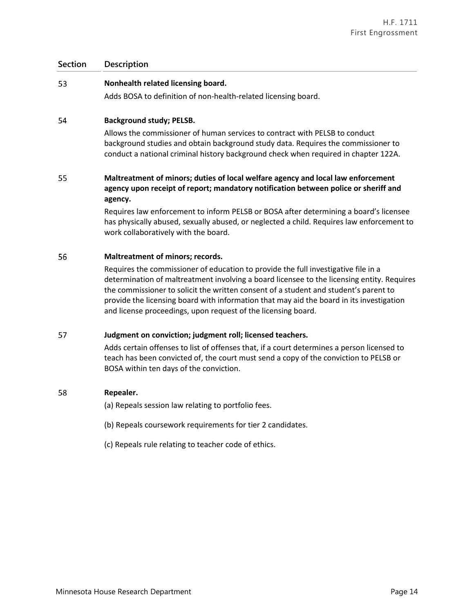#### 53 **Nonhealth related licensing board.**

Adds BOSA to definition of non-health-related licensing board.

#### 54 **Background study; PELSB.**

Allows the commissioner of human services to contract with PELSB to conduct background studies and obtain background study data. Requires the commissioner to conduct a national criminal history background check when required in chapter 122A.

### 55 **Maltreatment of minors; duties of local welfare agency and local law enforcement agency upon receipt of report; mandatory notification between police or sheriff and agency.**

Requires law enforcement to inform PELSB or BOSA after determining a board's licensee has physically abused, sexually abused, or neglected a child. Requires law enforcement to work collaboratively with the board.

#### 56 **Maltreatment of minors; records.**

Requires the commissioner of education to provide the full investigative file in a determination of maltreatment involving a board licensee to the licensing entity. Requires the commissioner to solicit the written consent of a student and student's parent to provide the licensing board with information that may aid the board in its investigation and license proceedings, upon request of the licensing board.

#### 57 **Judgment on conviction; judgment roll; licensed teachers.**

Adds certain offenses to list of offenses that, if a court determines a person licensed to teach has been convicted of, the court must send a copy of the conviction to PELSB or BOSA within ten days of the conviction.

#### 58 **Repealer.**

(a) Repeals session law relating to portfolio fees.

- (b) Repeals coursework requirements for tier 2 candidates.
- (c) Repeals rule relating to teacher code of ethics.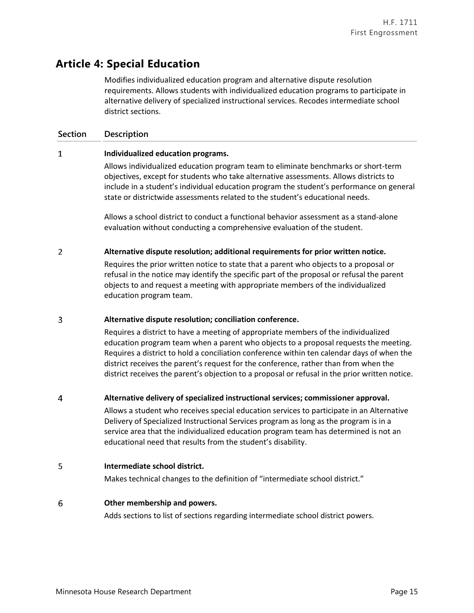## **Article 4: Special Education**

Modifies individualized education program and alternative dispute resolution requirements. Allows students with individualized education programs to participate in alternative delivery of specialized instructional services. Recodes intermediate school district sections.

## **Section Description**

#### $\mathbf{1}$ **Individualized education programs.**

Allows individualized education program team to eliminate benchmarks or short-term objectives, except for students who take alternative assessments. Allows districts to include in a student's individual education program the student's performance on general state or districtwide assessments related to the student's educational needs.

Allows a school district to conduct a functional behavior assessment as a stand-alone evaluation without conducting a comprehensive evaluation of the student.

#### $\overline{2}$ **Alternative dispute resolution; additional requirements for prior written notice.**

Requires the prior written notice to state that a parent who objects to a proposal or refusal in the notice may identify the specific part of the proposal or refusal the parent objects to and request a meeting with appropriate members of the individualized education program team.

#### 3 **Alternative dispute resolution; conciliation conference.**

Requires a district to have a meeting of appropriate members of the individualized education program team when a parent who objects to a proposal requests the meeting. Requires a district to hold a conciliation conference within ten calendar days of when the district receives the parent's request for the conference, rather than from when the district receives the parent's objection to a proposal or refusal in the prior written notice.

#### $\overline{4}$ **Alternative delivery of specialized instructional services; commissioner approval.**

Allows a student who receives special education services to participate in an Alternative Delivery of Specialized Instructional Services program as long as the program is in a service area that the individualized education program team has determined is not an educational need that results from the student's disability.

#### 5 **Intermediate school district.**

Makes technical changes to the definition of "intermediate school district."

#### 6 **Other membership and powers.**

Adds sections to list of sections regarding intermediate school district powers.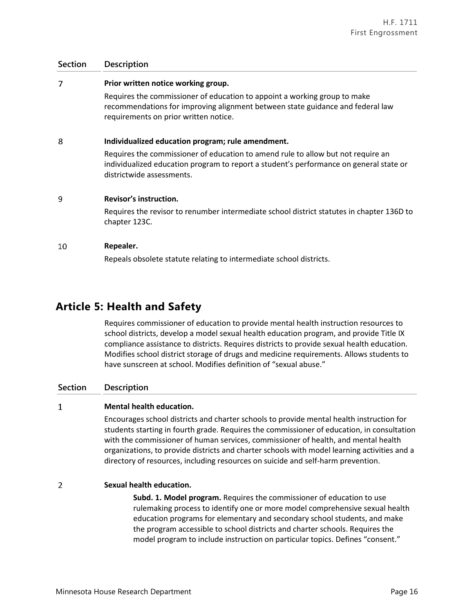#### $\overline{7}$ **Prior written notice working group.**

Requires the commissioner of education to appoint a working group to make recommendations for improving alignment between state guidance and federal law requirements on prior written notice.

#### 8 **Individualized education program; rule amendment.**

Requires the commissioner of education to amend rule to allow but not require an individualized education program to report a student's performance on general state or districtwide assessments.

#### 9 **Revisor's instruction.**

Requires the revisor to renumber intermediate school district statutes in chapter 136D to chapter 123C.

#### 10 **Repealer.**

Repeals obsolete statute relating to intermediate school districts.

## **Article 5: Health and Safety**

Requires commissioner of education to provide mental health instruction resources to school districts, develop a model sexual health education program, and provide Title IX compliance assistance to districts. Requires districts to provide sexual health education. Modifies school district storage of drugs and medicine requirements. Allows students to have sunscreen at school. Modifies definition of "sexual abuse."

### **Section Description**

#### $\mathbf{1}$ **Mental health education.**

Encourages school districts and charter schools to provide mental health instruction for students starting in fourth grade. Requires the commissioner of education, in consultation with the commissioner of human services, commissioner of health, and mental health organizations, to provide districts and charter schools with model learning activities and a directory of resources, including resources on suicide and self-harm prevention.

#### $\overline{2}$ **Sexual health education.**

**Subd. 1. Model program.** Requires the commissioner of education to use rulemaking process to identify one or more model comprehensive sexual health education programs for elementary and secondary school students, and make the program accessible to school districts and charter schools. Requires the model program to include instruction on particular topics. Defines "consent."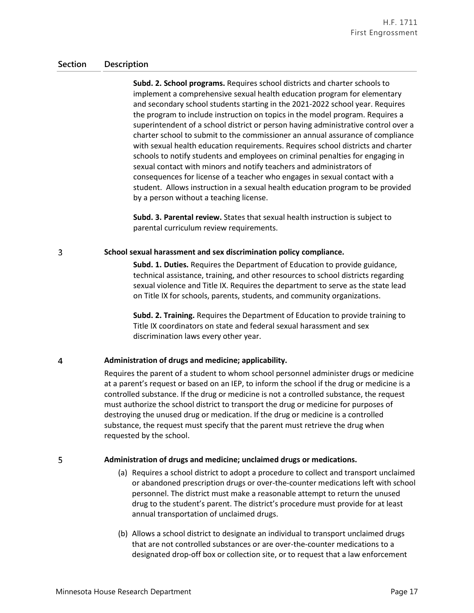**Subd. 2. School programs.** Requires school districts and charter schools to implement a comprehensive sexual health education program for elementary and secondary school students starting in the 2021-2022 school year. Requires the program to include instruction on topics in the model program. Requires a superintendent of a school district or person having administrative control over a charter school to submit to the commissioner an annual assurance of compliance with sexual health education requirements. Requires school districts and charter schools to notify students and employees on criminal penalties for engaging in sexual contact with minors and notify teachers and administrators of consequences for license of a teacher who engages in sexual contact with a student. Allows instruction in a sexual health education program to be provided by a person without a teaching license.

**Subd. 3. Parental review.** States that sexual health instruction is subject to parental curriculum review requirements.

#### 3 **School sexual harassment and sex discrimination policy compliance.**

**Subd. 1. Duties.** Requires the Department of Education to provide guidance, technical assistance, training, and other resources to school districts regarding sexual violence and Title IX. Requires the department to serve as the state lead on Title IX for schools, parents, students, and community organizations.

**Subd. 2. Training.** Requires the Department of Education to provide training to Title IX coordinators on state and federal sexual harassment and sex discrimination laws every other year.

#### $\overline{4}$ **Administration of drugs and medicine; applicability.**

Requires the parent of a student to whom school personnel administer drugs or medicine at a parent's request or based on an IEP, to inform the school if the drug or medicine is a controlled substance. If the drug or medicine is not a controlled substance, the request must authorize the school district to transport the drug or medicine for purposes of destroying the unused drug or medication. If the drug or medicine is a controlled substance, the request must specify that the parent must retrieve the drug when requested by the school.

### **Administration of drugs and medicine; unclaimed drugs or medications.**

- (a) Requires a school district to adopt a procedure to collect and transport unclaimed or abandoned prescription drugs or over-the-counter medications left with school personnel. The district must make a reasonable attempt to return the unused drug to the student's parent. The district's procedure must provide for at least annual transportation of unclaimed drugs.
- (b) Allows a school district to designate an individual to transport unclaimed drugs that are not controlled substances or are over-the-counter medications to a designated drop-off box or collection site, or to request that a law enforcement

5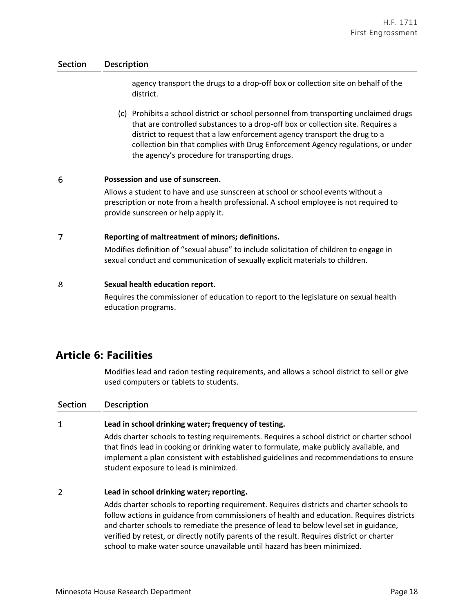agency transport the drugs to a drop-off box or collection site on behalf of the district.

(c) Prohibits a school district or school personnel from transporting unclaimed drugs that are controlled substances to a drop-off box or collection site. Requires a district to request that a law enforcement agency transport the drug to a collection bin that complies with Drug Enforcement Agency regulations, or under the agency's procedure for transporting drugs.

#### 6 **Possession and use of sunscreen.**

Allows a student to have and use sunscreen at school or school events without a prescription or note from a health professional. A school employee is not required to provide sunscreen or help apply it.

#### $\overline{7}$ **Reporting of maltreatment of minors; definitions.**

Modifies definition of "sexual abuse" to include solicitation of children to engage in sexual conduct and communication of sexually explicit materials to children.

#### 8 **Sexual health education report.**

Requires the commissioner of education to report to the legislature on sexual health education programs.

## **Article 6: Facilities**

Modifies lead and radon testing requirements, and allows a school district to sell or give used computers or tablets to students.

### **Section Description**

#### $\mathbf{1}$ **Lead in school drinking water; frequency of testing.**

Adds charter schools to testing requirements. Requires a school district or charter school that finds lead in cooking or drinking water to formulate, make publicly available, and implement a plan consistent with established guidelines and recommendations to ensure student exposure to lead is minimized.

#### $\overline{2}$ **Lead in school drinking water; reporting.**

Adds charter schools to reporting requirement. Requires districts and charter schools to follow actions in guidance from commissioners of health and education. Requires districts and charter schools to remediate the presence of lead to below level set in guidance, verified by retest, or directly notify parents of the result. Requires district or charter school to make water source unavailable until hazard has been minimized.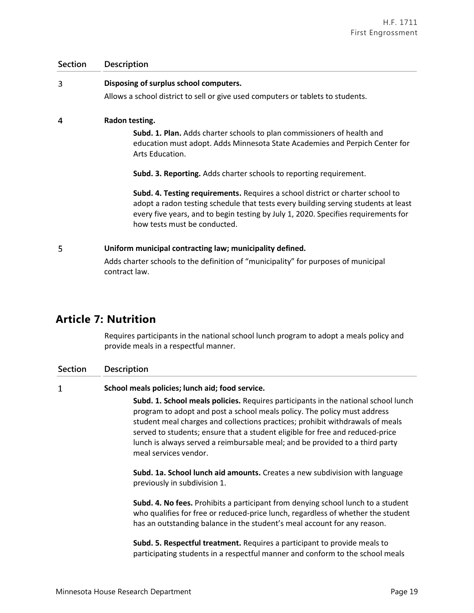| <b>Section</b> | <b>Description</b>                                                                                                                                                                                                                                                                         |
|----------------|--------------------------------------------------------------------------------------------------------------------------------------------------------------------------------------------------------------------------------------------------------------------------------------------|
| 3              | Disposing of surplus school computers.                                                                                                                                                                                                                                                     |
|                | Allows a school district to sell or give used computers or tablets to students.                                                                                                                                                                                                            |
| 4              | Radon testing.                                                                                                                                                                                                                                                                             |
|                | <b>Subd. 1. Plan.</b> Adds charter schools to plan commissioners of health and<br>education must adopt. Adds Minnesota State Academies and Perpich Center for<br>Arts Education.                                                                                                           |
|                | <b>Subd. 3. Reporting.</b> Adds charter schools to reporting requirement.                                                                                                                                                                                                                  |
|                | Subd. 4. Testing requirements. Requires a school district or charter school to<br>adopt a radon testing schedule that tests every building serving students at least<br>every five years, and to begin testing by July 1, 2020. Specifies requirements for<br>how tests must be conducted. |
| 5              | Uniform municipal contracting law; municipality defined.                                                                                                                                                                                                                                   |
|                | Adds charter schools to the definition of "municipality" for purposes of municipal<br>contract law.                                                                                                                                                                                        |

# **Article 7: Nutrition**

Requires participants in the national school lunch program to adopt a meals policy and provide meals in a respectful manner.

| <b>Section</b> | <b>Description</b>                                                                                                                                                                                                                                                                                                                                                                                                                        |
|----------------|-------------------------------------------------------------------------------------------------------------------------------------------------------------------------------------------------------------------------------------------------------------------------------------------------------------------------------------------------------------------------------------------------------------------------------------------|
| 1              | School meals policies; lunch aid; food service.                                                                                                                                                                                                                                                                                                                                                                                           |
|                | Subd. 1. School meals policies. Requires participants in the national school lunch<br>program to adopt and post a school meals policy. The policy must address<br>student meal charges and collections practices; prohibit withdrawals of meals<br>served to students; ensure that a student eligible for free and reduced-price<br>lunch is always served a reimbursable meal; and be provided to a third party<br>meal services vendor. |
|                | Subd. 1a. School lunch aid amounts. Creates a new subdivision with language<br>previously in subdivision 1.                                                                                                                                                                                                                                                                                                                               |
|                | <b>Subd. 4. No fees.</b> Prohibits a participant from denying school lunch to a student<br>who qualifies for free or reduced-price lunch, regardless of whether the student<br>has an outstanding balance in the student's meal account for any reason.                                                                                                                                                                                   |
|                | Subd. 5. Respectful treatment. Requires a participant to provide meals to<br>participating students in a respectful manner and conform to the school meals                                                                                                                                                                                                                                                                                |